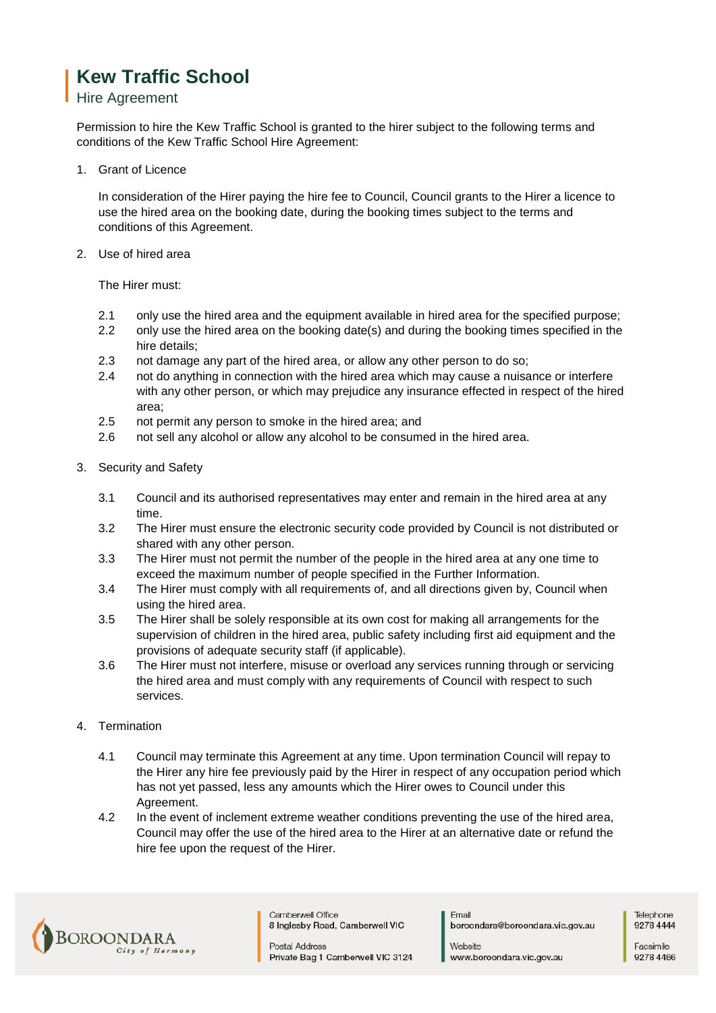## **Kew Traffic School**

## Hire Agreement

Permission to hire the Kew Traffic School is granted to the hirer subject to the following terms and conditions of the Kew Traffic School Hire Agreement:

1. Grant of Licence

In consideration of the Hirer paying the hire fee to Council, Council grants to the Hirer a licence to use the hired area on the booking date, during the booking times subject to the terms and conditions of this Agreement.

2. Use of hired area

The Hirer must:

- 2.1 only use the hired area and the equipment available in hired area for the specified purpose;
- 2.2 only use the hired area on the booking date(s) and during the booking times specified in the hire details;
- 2.3 not damage any part of the hired area, or allow any other person to do so;
- 2.4 not do anything in connection with the hired area which may cause a nuisance or interfere with any other person, or which may prejudice any insurance effected in respect of the hired area;
- 2.5 not permit any person to smoke in the hired area; and
- 2.6 not sell any alcohol or allow any alcohol to be consumed in the hired area.
- 3. Security and Safety
	- 3.1 Council and its authorised representatives may enter and remain in the hired area at any time.
	- 3.2 The Hirer must ensure the electronic security code provided by Council is not distributed or shared with any other person.
	- 3.3 The Hirer must not permit the number of the people in the hired area at any one time to exceed the maximum number of people specified in the Further Information.
	- 3.4 The Hirer must comply with all requirements of, and all directions given by, Council when using the hired area.
	- 3.5 The Hirer shall be solely responsible at its own cost for making all arrangements for the supervision of children in the hired area, public safety including first aid equipment and the provisions of adequate security staff (if applicable).
	- 3.6 The Hirer must not interfere, misuse or overload any services running through or servicing the hired area and must comply with any requirements of Council with respect to such services.
- 4. Termination
	- 4.1 Council may terminate this Agreement at any time. Upon termination Council will repay to the Hirer any hire fee previously paid by the Hirer in respect of any occupation period which has not yet passed, less any amounts which the Hirer owes to Council under this Agreement.
	- 4.2 In the event of inclement extreme weather conditions preventing the use of the hired area, Council may offer the use of the hired area to the Hirer at an alternative date or refund the hire fee upon the request of the Hirer.



Camberwell Office 8 Inglesby Road, Camberwell VIC

**Postal Address** Private Bag 1 Camberwell VIC 3124 Email boroondara@boroondara.vic.gov.au

Website www.boroondara.vic.gov.au

Telephone 9278 4444

Facsimile 9278 4466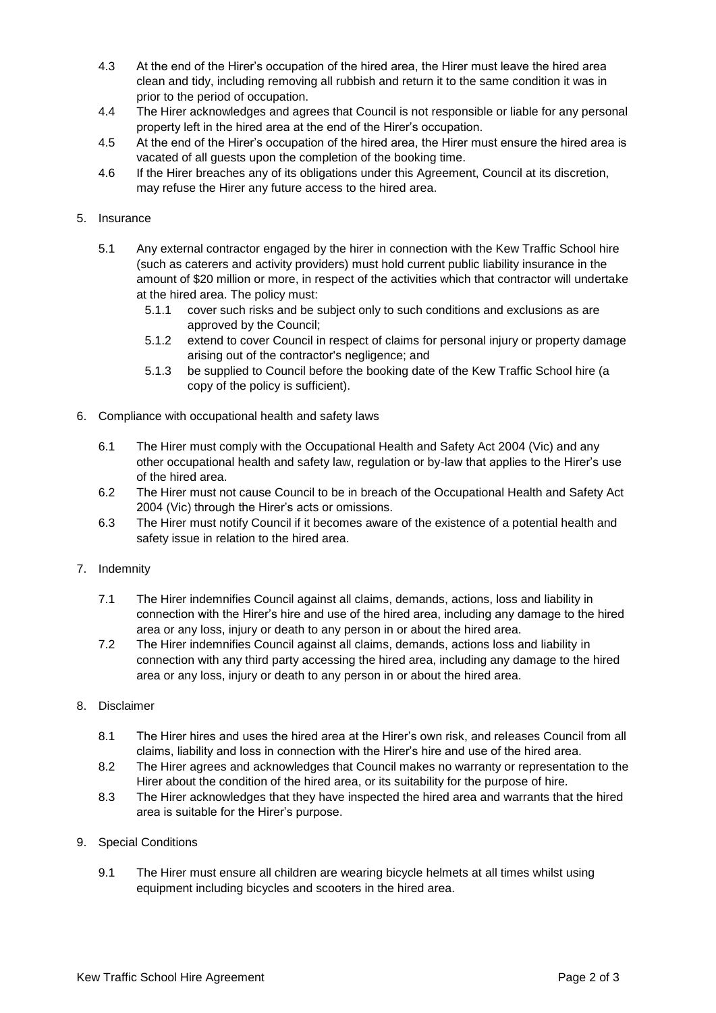- 4.3 At the end of the Hirer's occupation of the hired area, the Hirer must leave the hired area clean and tidy, including removing all rubbish and return it to the same condition it was in prior to the period of occupation.
- 4.4 The Hirer acknowledges and agrees that Council is not responsible or liable for any personal property left in the hired area at the end of the Hirer's occupation.
- 4.5 At the end of the Hirer's occupation of the hired area, the Hirer must ensure the hired area is vacated of all guests upon the completion of the booking time.
- 4.6 If the Hirer breaches any of its obligations under this Agreement, Council at its discretion, may refuse the Hirer any future access to the hired area.
- 5. Insurance
	- 5.1 Any external contractor engaged by the hirer in connection with the Kew Traffic School hire (such as caterers and activity providers) must hold current public liability insurance in the amount of \$20 million or more, in respect of the activities which that contractor will undertake at the hired area. The policy must:
		- 5.1.1 cover such risks and be subject only to such conditions and exclusions as are approved by the Council;
		- 5.1.2 extend to cover Council in respect of claims for personal injury or property damage arising out of the contractor's negligence; and
		- 5.1.3 be supplied to Council before the booking date of the Kew Traffic School hire (a copy of the policy is sufficient).
- 6. Compliance with occupational health and safety laws
	- 6.1 The Hirer must comply with the Occupational Health and Safety Act 2004 (Vic) and any other occupational health and safety law, regulation or by-law that applies to the Hirer's use of the hired area.
	- 6.2 The Hirer must not cause Council to be in breach of the Occupational Health and Safety Act 2004 (Vic) through the Hirer's acts or omissions.
	- 6.3 The Hirer must notify Council if it becomes aware of the existence of a potential health and safety issue in relation to the hired area.
- 7. Indemnity
	- 7.1 The Hirer indemnifies Council against all claims, demands, actions, loss and liability in connection with the Hirer's hire and use of the hired area, including any damage to the hired area or any loss, injury or death to any person in or about the hired area.
	- 7.2 The Hirer indemnifies Council against all claims, demands, actions loss and liability in connection with any third party accessing the hired area, including any damage to the hired area or any loss, injury or death to any person in or about the hired area.
- 8. Disclaimer
	- 8.1 The Hirer hires and uses the hired area at the Hirer's own risk, and releases Council from all claims, liability and loss in connection with the Hirer's hire and use of the hired area.
	- 8.2 The Hirer agrees and acknowledges that Council makes no warranty or representation to the Hirer about the condition of the hired area, or its suitability for the purpose of hire.
	- 8.3 The Hirer acknowledges that they have inspected the hired area and warrants that the hired area is suitable for the Hirer's purpose.
- 9. Special Conditions
	- 9.1 The Hirer must ensure all children are wearing bicycle helmets at all times whilst using equipment including bicycles and scooters in the hired area.